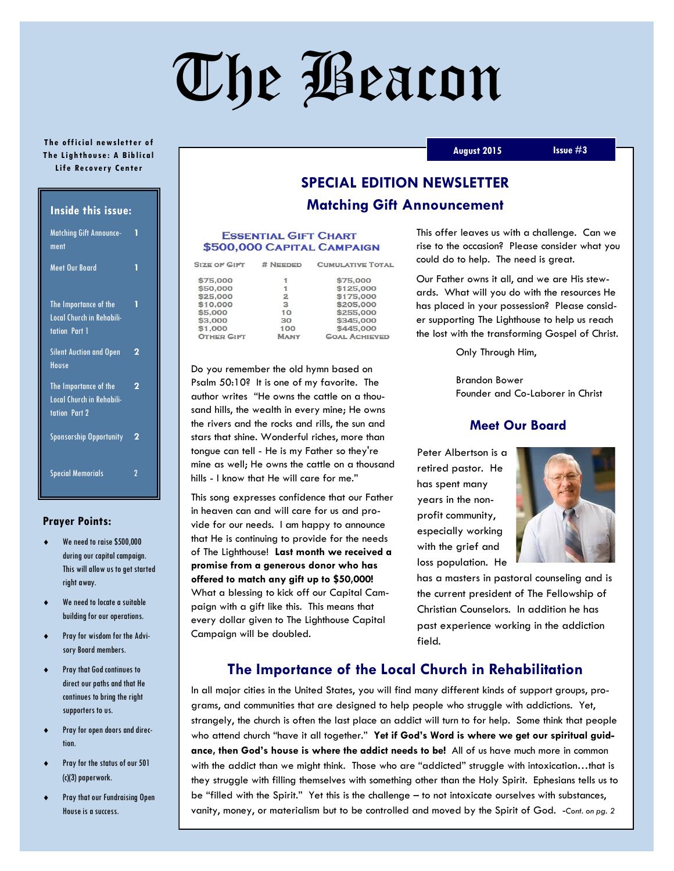# The Beacon

#### **The official newsletter of The Lighthouse: A Biblical Life Recovery Center**

| <b>Inside this issue:</b>                                                  |   |  |
|----------------------------------------------------------------------------|---|--|
| <b>Matching Gift Announce-</b><br>ment                                     | 1 |  |
| <b>Meet Our Board</b>                                                      | 1 |  |
| The Importance of the<br>Local Church in Rehabili-<br>tation Part 1        | 1 |  |
| <b>Silent Auction and Open</b><br>House                                    | 2 |  |
| The Importance of the<br>Local Church in Rehabili-<br><b>tation Part 2</b> | 2 |  |
| <b>Sponsorship Opportunity</b>                                             | 2 |  |
| <b>Special Memorials</b>                                                   | 2 |  |

#### **Prayer Points:**

- We need to raise \$500,000 during our capital campaign. This will allow us to get started right away.
- We need to locate a suitable building for our operations.
- Pray for wisdom for the Advisory Board members.
- Pray that God continues to direct our paths and that He continues to bring the right supporters to us.
- Pray for open doors and direction.
- Pray for the status of our 501 (c)(3) paperwork.
- Pray that our Fundraising Open House is a success.

# **SPECIAL EDITION NEWSLETTER Matching Gift Announcement**

#### **ESSENTIAL GIFT CHART** \$500,000 CAPITAL CAMPAIGN

| <b>SIZE OF GIFT</b> | # NEEDED    | <b>CUMULATIVE TOTAL</b> |
|---------------------|-------------|-------------------------|
| \$75,000            | i           | \$75,000                |
| \$50,000            | 1           | \$125,000               |
| \$25,000            | 2           | \$175,000               |
| \$10,000            | з           | \$205,000               |
| \$5,000             | 10          | \$255,000               |
| \$3,000             | 30          | \$345,000               |
| \$1,000             | 100         | \$445,000               |
| <b>OTHER GIFT</b>   | <b>MANY</b> | <b>GOAL ACHIEVED</b>    |

Do you remember the old hymn based on Psalm 50:10? It is one of my favorite. The author writes "He owns the cattle on a thousand hills, the wealth in every mine; He owns the rivers and the rocks and rills, the sun and stars that shine. Wonderful riches, more than tongue can tell - He is my Father so they're mine as well; He owns the cattle on a thousand hills - I know that He will care for me."

This song expresses confidence that our Father in heaven can and will care for us and provide for our needs. I am happy to announce that He is continuing to provide for the needs of The Lighthouse! **Last month we received a promise from a generous donor who has offered to match any gift up to \$50,000!**  What a blessing to kick off our Capital Campaign with a gift like this. This means that every dollar given to The Lighthouse Capital Campaign will be doubled.

This offer leaves us with a challenge. Can we rise to the occasion? Please consider what you could do to help. The need is great.

Our Father owns it all, and we are His stewards. What will you do with the resources He has placed in your possession? Please consider supporting The Lighthouse to help us reach the lost with the transforming Gospel of Christ.

Only Through Him,

Brandon Bower Founder and Co-Laborer in Christ

## **Meet Our Board**

Peter Albertson is a retired pastor. He has spent many years in the nonprofit community, especially working with the grief and loss population. He



has a masters in pastoral counseling and is the current president of The Fellowship of Christian Counselors. In addition he has past experience working in the addiction field.

## **The Importance of the Local Church in Rehabilitation**

In all major cities in the United States, you will find many different kinds of support groups, programs, and communities that are designed to help people who struggle with addictions. Yet, strangely, the church is often the last place an addict will turn to for help. Some think that people who attend church "have it all together." **Yet if God's Word is where we get our spiritual guidance, then God's house is where the addict needs to be!** All of us have much more in common with the addict than we might think. Those who are "addicted" struggle with intoxication...that is they struggle with filling themselves with something other than the Holy Spirit. Ephesians tells us to be "filled with the Spirit." Yet this is the challenge – to not intoxicate ourselves with substances, vanity, money, or materialism but to be controlled and moved by the Spirit of God. -*Cont. on pg. 2*

#### **August 2015 Issue #3**